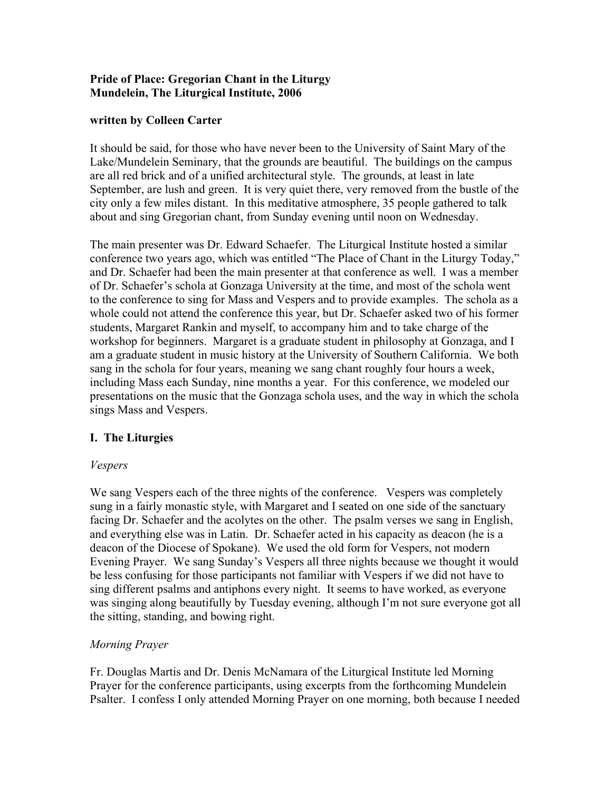# **Pride of Place: Gregorian Chant in the Liturgy Mundelein, The Liturgical Institute, 2006**

#### **written by Colleen Carter**

It should be said, for those who have never been to the University of Saint Mary of the Lake/Mundelein Seminary, that the grounds are beautiful. The buildings on the campus are all red brick and of a unified architectural style. The grounds, at least in late September, are lush and green. It is very quiet there, very removed from the bustle of the city only a few miles distant. In this meditative atmosphere, 35 people gathered to talk about and sing Gregorian chant, from Sunday evening until noon on Wednesday.

The main presenter was Dr. Edward Schaefer. The Liturgical Institute hosted a similar conference two years ago, which was entitled "The Place of Chant in the Liturgy Today," and Dr. Schaefer had been the main presenter at that conference as well. I was a member of Dr. Schaefer's schola at Gonzaga University at the time, and most of the schola went to the conference to sing for Mass and Vespers and to provide examples. The schola as a whole could not attend the conference this year, but Dr. Schaefer asked two of his former students, Margaret Rankin and myself, to accompany him and to take charge of the workshop for beginners. Margaret is a graduate student in philosophy at Gonzaga, and I am a graduate student in music history at the University of Southern California. We both sang in the schola for four years, meaning we sang chant roughly four hours a week, including Mass each Sunday, nine months a year. For this conference, we modeled our presentations on the music that the Gonzaga schola uses, and the way in which the schola sings Mass and Vespers.

# **I. The Liturgies**

# *Vespers*

We sang Vespers each of the three nights of the conference. Vespers was completely sung in a fairly monastic style, with Margaret and I seated on one side of the sanctuary facing Dr. Schaefer and the acolytes on the other. The psalm verses we sang in English, and everything else was in Latin. Dr. Schaefer acted in his capacity as deacon (he is a deacon of the Diocese of Spokane). We used the old form for Vespers, not modern Evening Prayer. We sang Sunday's Vespers all three nights because we thought it would be less confusing for those participants not familiar with Vespers if we did not have to sing different psalms and antiphons every night. It seems to have worked, as everyone was singing along beautifully by Tuesday evening, although I'm not sure everyone got all the sitting, standing, and bowing right.

# *Morning Prayer*

Fr. Douglas Martis and Dr. Denis McNamara of the Liturgical Institute led Morning Prayer for the conference participants, using excerpts from the forthcoming Mundelein Psalter. I confess I only attended Morning Prayer on one morning, both because I needed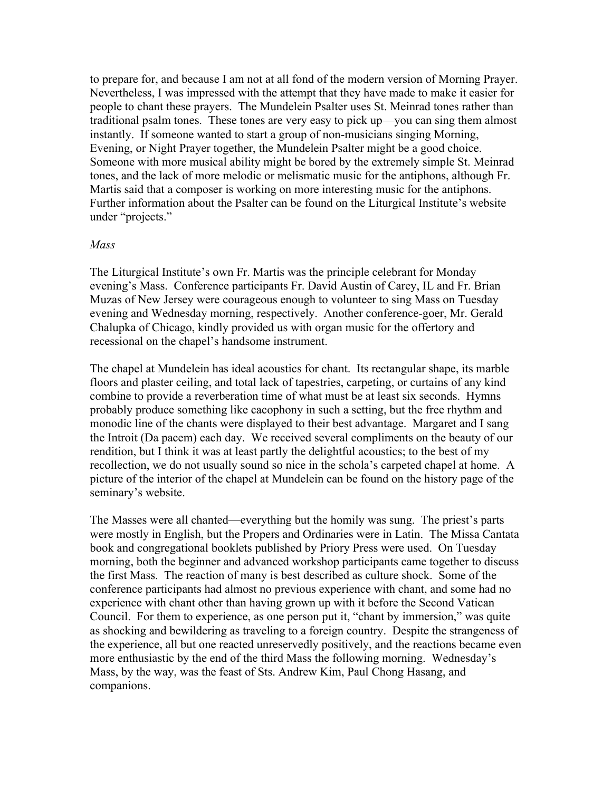to prepare for, and because I am not at all fond of the modern version of Morning Prayer. Nevertheless, I was impressed with the attempt that they have made to make it easier for people to chant these prayers. The Mundelein Psalter uses St. Meinrad tones rather than traditional psalm tones. These tones are very easy to pick up—you can sing them almost instantly. If someone wanted to start a group of non-musicians singing Morning, Evening, or Night Prayer together, the Mundelein Psalter might be a good choice. Someone with more musical ability might be bored by the extremely simple St. Meinrad tones, and the lack of more melodic or melismatic music for the antiphons, although Fr. Martis said that a composer is working on more interesting music for the antiphons. Further information about the Psalter can be found on the Liturgical Institute's website under "projects."

#### *Mass*

The Liturgical Institute's own Fr. Martis was the principle celebrant for Monday evening's Mass. Conference participants Fr. David Austin of Carey, IL and Fr. Brian Muzas of New Jersey were courageous enough to volunteer to sing Mass on Tuesday evening and Wednesday morning, respectively. Another conference-goer, Mr. Gerald Chalupka of Chicago, kindly provided us with organ music for the offertory and recessional on the chapel's handsome instrument.

The chapel at Mundelein has ideal acoustics for chant. Its rectangular shape, its marble floors and plaster ceiling, and total lack of tapestries, carpeting, or curtains of any kind combine to provide a reverberation time of what must be at least six seconds. Hymns probably produce something like cacophony in such a setting, but the free rhythm and monodic line of the chants were displayed to their best advantage. Margaret and I sang the Introit (Da pacem) each day. We received several compliments on the beauty of our rendition, but I think it was at least partly the delightful acoustics; to the best of my recollection, we do not usually sound so nice in the schola's carpeted chapel at home. A picture of the interior of the chapel at Mundelein can be found on the history page of the seminary's website.

The Masses were all chanted—everything but the homily was sung. The priest's parts were mostly in English, but the Propers and Ordinaries were in Latin. The Missa Cantata book and congregational booklets published by Priory Press were used. On Tuesday morning, both the beginner and advanced workshop participants came together to discuss the first Mass. The reaction of many is best described as culture shock. Some of the conference participants had almost no previous experience with chant, and some had no experience with chant other than having grown up with it before the Second Vatican Council. For them to experience, as one person put it, "chant by immersion," was quite as shocking and bewildering as traveling to a foreign country. Despite the strangeness of the experience, all but one reacted unreservedly positively, and the reactions became even more enthusiastic by the end of the third Mass the following morning. Wednesday's Mass, by the way, was the feast of Sts. Andrew Kim, Paul Chong Hasang, and companions.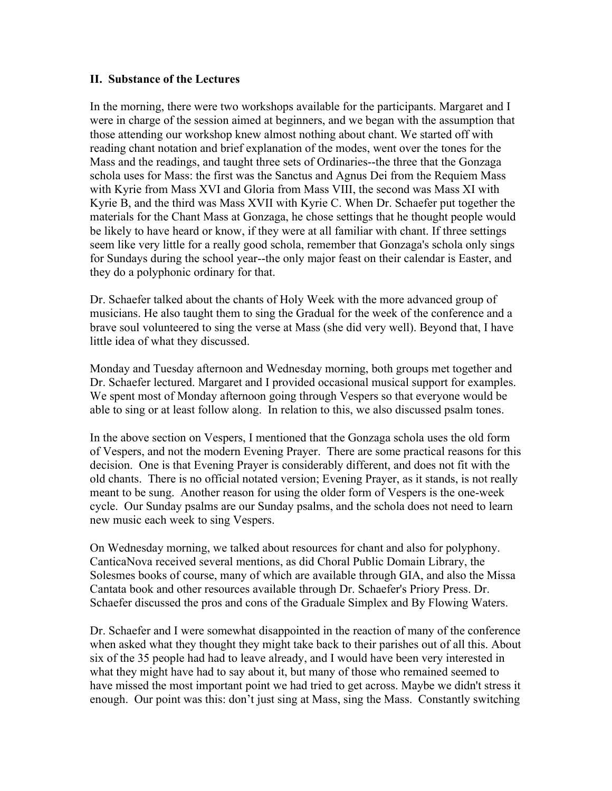#### **II. Substance of the Lectures**

In the morning, there were two workshops available for the participants. Margaret and I were in charge of the session aimed at beginners, and we began with the assumption that those attending our workshop knew almost nothing about chant. We started off with reading chant notation and brief explanation of the modes, went over the tones for the Mass and the readings, and taught three sets of Ordinaries--the three that the Gonzaga schola uses for Mass: the first was the Sanctus and Agnus Dei from the Requiem Mass with Kyrie from Mass XVI and Gloria from Mass VIII, the second was Mass XI with Kyrie B, and the third was Mass XVII with Kyrie C. When Dr. Schaefer put together the materials for the Chant Mass at Gonzaga, he chose settings that he thought people would be likely to have heard or know, if they were at all familiar with chant. If three settings seem like very little for a really good schola, remember that Gonzaga's schola only sings for Sundays during the school year--the only major feast on their calendar is Easter, and they do a polyphonic ordinary for that.

Dr. Schaefer talked about the chants of Holy Week with the more advanced group of musicians. He also taught them to sing the Gradual for the week of the conference and a brave soul volunteered to sing the verse at Mass (she did very well). Beyond that, I have little idea of what they discussed.

Monday and Tuesday afternoon and Wednesday morning, both groups met together and Dr. Schaefer lectured. Margaret and I provided occasional musical support for examples. We spent most of Monday afternoon going through Vespers so that everyone would be able to sing or at least follow along. In relation to this, we also discussed psalm tones.

In the above section on Vespers, I mentioned that the Gonzaga schola uses the old form of Vespers, and not the modern Evening Prayer. There are some practical reasons for this decision. One is that Evening Prayer is considerably different, and does not fit with the old chants. There is no official notated version; Evening Prayer, as it stands, is not really meant to be sung. Another reason for using the older form of Vespers is the one-week cycle. Our Sunday psalms are our Sunday psalms, and the schola does not need to learn new music each week to sing Vespers.

On Wednesday morning, we talked about resources for chant and also for polyphony. CanticaNova received several mentions, as did Choral Public Domain Library, the Solesmes books of course, many of which are available through GIA, and also the Missa Cantata book and other resources available through Dr. Schaefer's Priory Press. Dr. Schaefer discussed the pros and cons of the Graduale Simplex and By Flowing Waters.

Dr. Schaefer and I were somewhat disappointed in the reaction of many of the conference when asked what they thought they might take back to their parishes out of all this. About six of the 35 people had had to leave already, and I would have been very interested in what they might have had to say about it, but many of those who remained seemed to have missed the most important point we had tried to get across. Maybe we didn't stress it enough. Our point was this: don't just sing at Mass, sing the Mass. Constantly switching